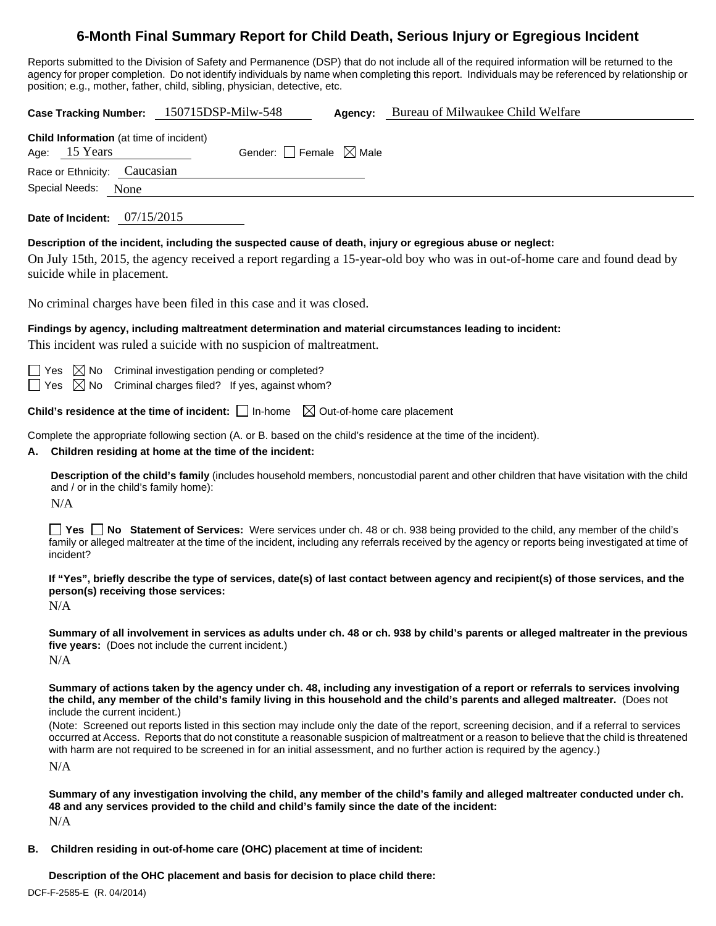# **6-Month Final Summary Report for Child Death, Serious Injury or Egregious Incident**

Reports submitted to the Division of Safety and Permanence (DSP) that do not include all of the required information will be returned to the agency for proper completion. Do not identify individuals by name when completing this report. Individuals may be referenced by relationship or position; e.g., mother, father, child, sibling, physician, detective, etc.

**Case Tracking Number:** 150715DSP-Milw-548 **Agency:** Bureau of Milwaukee Child Welfare **Child Information** (at time of incident) Age:  $15$  Years Gender: Female  $\boxtimes$  Male Race or Ethnicity: Caucasian Special Needs: None **Date of Incident:** 07/15/2015 **Description of the incident, including the suspected cause of death, injury or egregious abuse or neglect:**  On July 15th, 2015, the agency received a report regarding a 15-year-old boy who was in out-of-home care and found dead by suicide while in placement. No criminal charges have been filed in this case and it was closed. **Findings by agency, including maltreatment determination and material circumstances leading to incident:**  This incident was ruled a suicide with no suspicion of maltreatment.  $\Box$  Yes  $\boxtimes$  No Criminal investigation pending or completed?  $\Box$  Yes  $\boxtimes$  No Criminal charges filed? If yes, against whom? **Child's residence at the time of incident:**  $\Box$  In-home  $\Box$  Out-of-home care placement Complete the appropriate following section (A. or B. based on the child's residence at the time of the incident). **A. Children residing at home at the time of the incident: Description of the child's family** (includes household members, noncustodial parent and other children that have visitation with the child and / or in the child's family home): N/A **Yes No Statement of Services:** Were services under ch. 48 or ch. 938 being provided to the child, any member of the child's family or alleged maltreater at the time of the incident, including any referrals received by the agency or reports being investigated at time of incident? **If "Yes", briefly describe the type of services, date(s) of last contact between agency and recipient(s) of those services, and the person(s) receiving those services:**  N/A **Summary of all involvement in services as adults under ch. 48 or ch. 938 by child's parents or alleged maltreater in the previous five years:** (Does not include the current incident.) N/A **Summary of actions taken by the agency under ch. 48, including any investigation of a report or referrals to services involving the child, any member of the child's family living in this household and the child's parents and alleged maltreater.** (Does not include the current incident.) (Note: Screened out reports listed in this section may include only the date of the report, screening decision, and if a referral to services occurred at Access. Reports that do not constitute a reasonable suspicion of maltreatment or a reason to believe that the child is threatened with harm are not required to be screened in for an initial assessment, and no further action is required by the agency.) N/A **Summary of any investigation involving the child, any member of the child's family and alleged maltreater conducted under ch. 48 and any services provided to the child and child's family since the date of the incident:** 

N/A

**B. Children residing in out-of-home care (OHC) placement at time of incident:**

**Description of the OHC placement and basis for decision to place child there:**